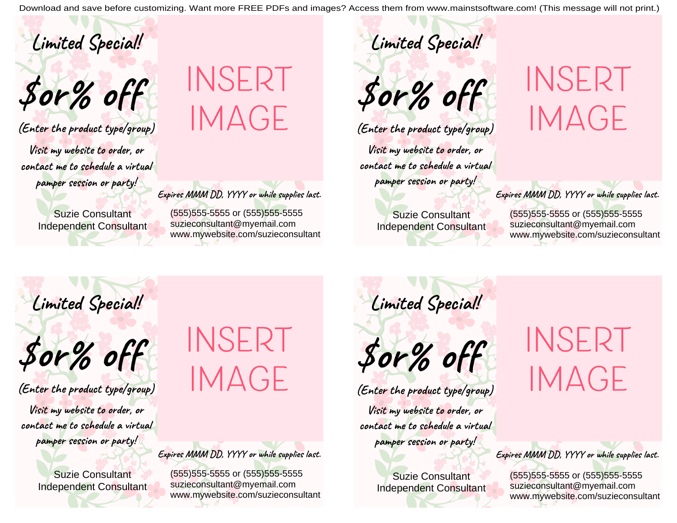Download and save before customizing. Want more FREE PDFs and images? Access them from www.mainstsoftware.com! (This message will not print.)

Limited Special!

Sor% off

(Enter the product type/group) Visit my website to order, or contact me to schedule a virtual pamper session or party!

> **Suzie Consultant Independent Consultant**

## INSERT **IMAGE**

Expires MMM DD, YYYY or while supplies last.

(555) 555-5555 or (555) 555-5555 suzieconsultant@myemail.com www.mywebsite.com/suzieconsultant

\$or% off

Limited Special!

(Enter the product type/group)

Visit my website to order, or contact me to schedule a virtual pamper session or party!

> **Suzie Consultant Independent Consultant**

INSERT **IMAGE** 

Expires MMM DD, YYYY or while supplies last.

(555) 555-5555 or (555) 555-5555 suzieconsultant@myemail.com www.mywebsite.com/suzieconsultant

Limited Special!



(Enter the product type/group)

Visit my website to order, or contact me to schedule a virtual pamper session or party!

> **Suzie Consultant Independent Consultant**

## INSERT **IMAGE**

Expires MMM DD, YYYY or while supplies last.

(555) 555-5555 or (555) 555-5555 suzieconsultant@myemail.com www.mywebsite.com/suzieconsultant Limited Special!



(Enter the product type/group) Visit my website to order, or contact me to schedule a virtual pamper session or party!

> **Suzie Consultant** Independent Consultant

## INSERT **IMAGE**

Expires MMM DD, YYYY or while supplies last.

(555) 555-5555 or (555) 555-5555 suzieconsultant@myemail.com www.mywebsite.com/suzieconsultant